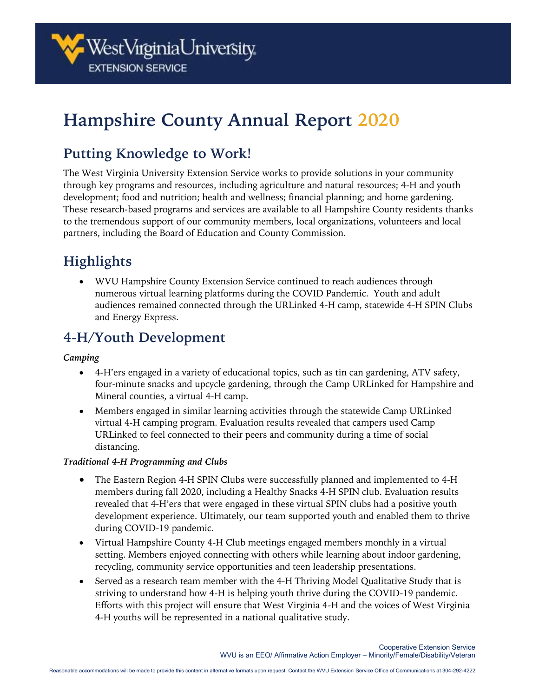

# **Hampshire County Annual Report 2020**

### **Putting Knowledge to Work!**

The West Virginia University Extension Service works to provide solutions in your community through key programs and resources, including agriculture and natural resources; 4-H and youth development; food and nutrition; health and wellness; financial planning; and home gardening. These research-based programs and services are available to all Hampshire County residents thanks to the tremendous support of our community members, local organizations, volunteers and local partners, including the Board of Education and County Commission.

## **Highlights**

• WVU Hampshire County Extension Service continued to reach audiences through numerous virtual learning platforms during the COVID Pandemic. Youth and adult audiences remained connected through the URLinked 4-H camp, statewide 4-H SPIN Clubs and Energy Express.

### **4-H/Youth Development**

#### *Camping*

- 4-H'ers engaged in a variety of educational topics, such as tin can gardening, ATV safety, four-minute snacks and upcycle gardening, through the Camp URLinked for Hampshire and Mineral counties, a virtual 4-H camp.
- Members engaged in similar learning activities through the statewide Camp URLinked virtual 4-H camping program. Evaluation results revealed that campers used Camp URLinked to feel connected to their peers and community during a time of social distancing.

#### *Traditional 4-H Programming and Clubs*

- The Eastern Region 4-H SPIN Clubs were successfully planned and implemented to 4-H members during fall 2020, including a Healthy Snacks 4-H SPIN club. Evaluation results revealed that 4-H'ers that were engaged in these virtual SPIN clubs had a positive youth development experience. Ultimately, our team supported youth and enabled them to thrive during COVID-19 pandemic.
- Virtual Hampshire County 4-H Club meetings engaged members monthly in a virtual setting. Members enjoyed connecting with others while learning about indoor gardening, recycling, community service opportunities and teen leadership presentations.
- Served as a research team member with the 4-H Thriving Model Qualitative Study that is striving to understand how 4-H is helping youth thrive during the COVID-19 pandemic. Efforts with this project will ensure that West Virginia 4-H and the voices of West Virginia 4-H youths will be represented in a national qualitative study.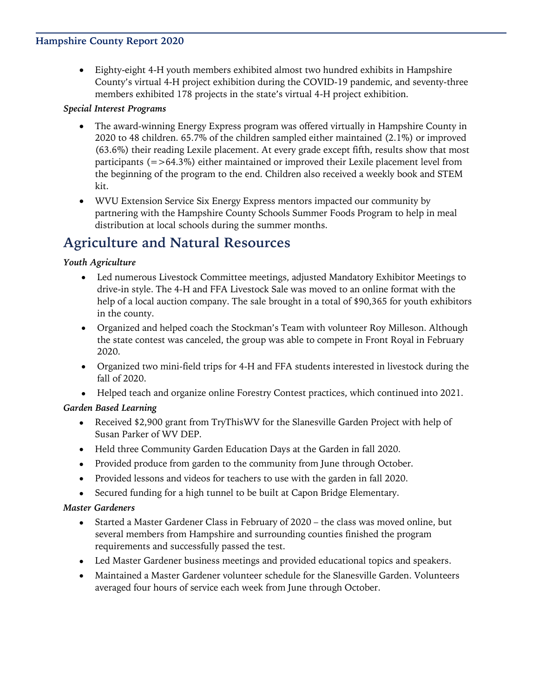### **Hampshire County Report 2020**

• Eighty-eight 4-H youth members exhibited almost two hundred exhibits in Hampshire County's virtual 4-H project exhibition during the COVID-19 pandemic, and seventy-three members exhibited 178 projects in the state's virtual 4-H project exhibition.

### *Special Interest Programs*

- The award-winning Energy Express program was offered virtually in Hampshire County in 2020 to 48 children. 65.7% of the children sampled either maintained (2.1%) or improved (63.6%) their reading Lexile placement. At every grade except fifth, results show that most participants  $(=>64.3\%)$  either maintained or improved their Lexile placement level from the beginning of the program to the end. Children also received a weekly book and STEM kit.
- WVU Extension Service Six Energy Express mentors impacted our community by partnering with the Hampshire County Schools Summer Foods Program to help in meal distribution at local schools during the summer months.

### **Agriculture and Natural Resources**

### *Youth Agriculture*

- Led numerous Livestock Committee meetings, adjusted Mandatory Exhibitor Meetings to drive-in style. The 4-H and FFA Livestock Sale was moved to an online format with the help of a local auction company. The sale brought in a total of \$90,365 for youth exhibitors in the county.
- Organized and helped coach the Stockman's Team with volunteer Roy Milleson. Although the state contest was canceled, the group was able to compete in Front Royal in February 2020.
- Organized two mini-field trips for 4-H and FFA students interested in livestock during the fall of 2020.
- Helped teach and organize online Forestry Contest practices, which continued into 2021.

### *Garden Based Learning*

- Received \$2,900 grant from TryThisWV for the Slanesville Garden Project with help of Susan Parker of WV DEP.
- Held three Community Garden Education Days at the Garden in fall 2020.
- Provided produce from garden to the community from June through October.
- Provided lessons and videos for teachers to use with the garden in fall 2020.
- Secured funding for a high tunnel to be built at Capon Bridge Elementary.

#### *Master Gardeners*

- Started a Master Gardener Class in February of 2020 the class was moved online, but several members from Hampshire and surrounding counties finished the program requirements and successfully passed the test.
- Led Master Gardener business meetings and provided educational topics and speakers.
- Maintained a Master Gardener volunteer schedule for the Slanesville Garden. Volunteers averaged four hours of service each week from June through October.